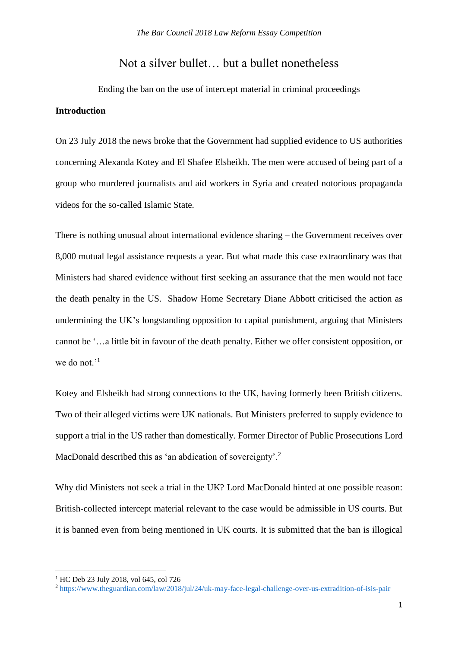# Not a silver bullet… but a bullet nonetheless

Ending the ban on the use of intercept material in criminal proceedings **Introduction**

On 23 July 2018 the news broke that the Government had supplied evidence to US authorities concerning Alexanda Kotey and El Shafee Elsheikh. The men were accused of being part of a group who murdered journalists and aid workers in Syria and created notorious propaganda videos for the so-called Islamic State.

There is nothing unusual about international evidence sharing – the Government receives over 8,000 mutual legal assistance requests a year. But what made this case extraordinary was that Ministers had shared evidence without first seeking an assurance that the men would not face the death penalty in the US. Shadow Home Secretary Diane Abbott criticised the action as undermining the UK's longstanding opposition to capital punishment, arguing that Ministers cannot be '…a little bit in favour of the death penalty. Either we offer consistent opposition, or we do not.<sup>'1</sup>

Kotey and Elsheikh had strong connections to the UK, having formerly been British citizens. Two of their alleged victims were UK nationals. But Ministers preferred to supply evidence to support a trial in the US rather than domestically. Former Director of Public Prosecutions Lord MacDonald described this as 'an abdication of sovereignty'.<sup>2</sup>

Why did Ministers not seek a trial in the UK? Lord MacDonald hinted at one possible reason: British-collected intercept material relevant to the case would be admissible in US courts. But it is banned even from being mentioned in UK courts. It is submitted that the ban is illogical

 $\overline{a}$ 

<sup>&</sup>lt;sup>1</sup> HC Deb 23 July 2018, vol 645, col 726

<sup>2</sup> <https://www.theguardian.com/law/2018/jul/24/uk-may-face-legal-challenge-over-us-extradition-of-isis-pair>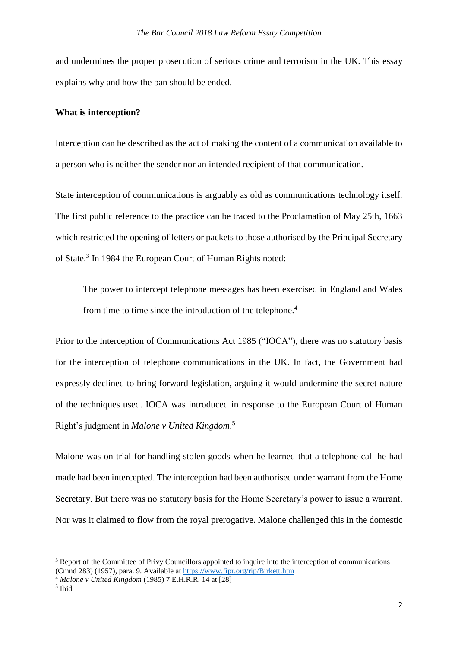and undermines the proper prosecution of serious crime and terrorism in the UK. This essay explains why and how the ban should be ended.

### **What is interception?**

Interception can be described as the act of making the content of a communication available to a person who is neither the sender nor an intended recipient of that communication.

State interception of communications is arguably as old as communications technology itself. The first public reference to the practice can be traced to the Proclamation of May 25th, 1663 which restricted the opening of letters or packets to those authorised by the Principal Secretary of State.<sup>3</sup> In 1984 the European Court of Human Rights noted:

The power to intercept telephone messages has been exercised in England and Wales from time to time since the introduction of the telephone.<sup>4</sup>

Prior to the Interception of Communications Act 1985 ("IOCA")*,* there was no statutory basis for the interception of telephone communications in the UK. In fact, the Government had expressly declined to bring forward legislation, arguing it would undermine the secret nature of the techniques used. IOCA was introduced in response to the European Court of Human Right's judgment in *Malone v United Kingdom*. 5

Malone was on trial for handling stolen goods when he learned that a telephone call he had made had been intercepted. The interception had been authorised under warrant from the Home Secretary. But there was no statutory basis for the Home Secretary's power to issue a warrant. Nor was it claimed to flow from the royal prerogative. Malone challenged this in the domestic

<sup>&</sup>lt;sup>3</sup> Report of the Committee of Privy Councillors appointed to inquire into the interception of communications (Cmnd 283) (1957), para. 9. Available at<https://www.fipr.org/rip/Birkett.htm>

<sup>4</sup> *Malone v United Kingdom* (1985) 7 E.H.R.R. 14 at [28]

<sup>5</sup> Ibid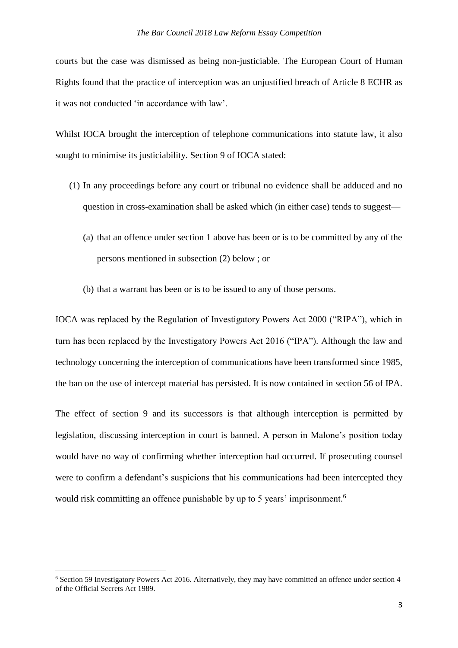courts but the case was dismissed as being non-justiciable. The European Court of Human Rights found that the practice of interception was an unjustified breach of Article 8 ECHR as it was not conducted 'in accordance with law'.

Whilst IOCA brought the interception of telephone communications into statute law, it also sought to minimise its justiciability. Section 9 of IOCA stated:

- (1) In any proceedings before any court or tribunal no evidence shall be adduced and no question in cross-examination shall be asked which (in either case) tends to suggest—
	- (a) that an offence under section 1 above has been or is to be committed by any of the persons mentioned in subsection (2) below ; or
	- (b) that a warrant has been or is to be issued to any of those persons.

IOCA was replaced by the Regulation of Investigatory Powers Act 2000 ("RIPA"), which in turn has been replaced by the Investigatory Powers Act 2016 ("IPA"). Although the law and technology concerning the interception of communications have been transformed since 1985, the ban on the use of intercept material has persisted. It is now contained in section 56 of IPA.

The effect of section 9 and its successors is that although interception is permitted by legislation, discussing interception in court is banned. A person in Malone's position today would have no way of confirming whether interception had occurred. If prosecuting counsel were to confirm a defendant's suspicions that his communications had been intercepted they would risk committing an offence punishable by up to 5 years' imprisonment.<sup>6</sup>

 $\overline{a}$ 

<sup>6</sup> Section 59 Investigatory Powers Act 2016. Alternatively, they may have committed an offence under section 4 of the Official Secrets Act 1989.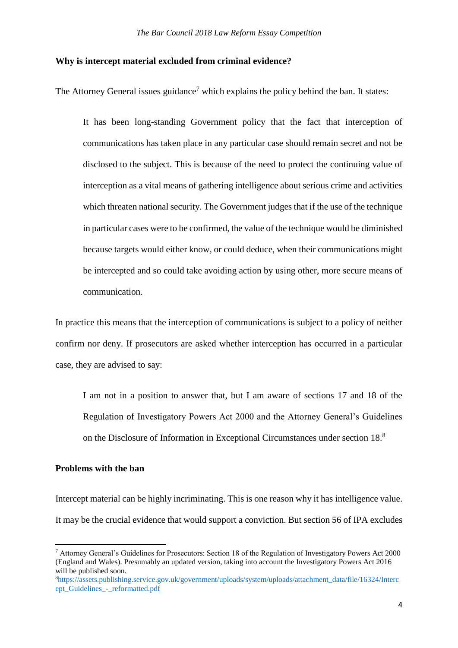#### **Why is intercept material excluded from criminal evidence?**

The Attorney General issues guidance<sup>7</sup> which explains the policy behind the ban. It states:

It has been long-standing Government policy that the fact that interception of communications has taken place in any particular case should remain secret and not be disclosed to the subject. This is because of the need to protect the continuing value of interception as a vital means of gathering intelligence about serious crime and activities which threaten national security. The Government judges that if the use of the technique in particular cases were to be confirmed, the value of the technique would be diminished because targets would either know, or could deduce, when their communications might be intercepted and so could take avoiding action by using other, more secure means of communication.

In practice this means that the interception of communications is subject to a policy of neither confirm nor deny. If prosecutors are asked whether interception has occurred in a particular case, they are advised to say:

I am not in a position to answer that, but I am aware of sections 17 and 18 of the Regulation of Investigatory Powers Act 2000 and the Attorney General's Guidelines on the Disclosure of Information in Exceptional Circumstances under section 18. 8

## **Problems with the ban**

1

Intercept material can be highly incriminating. This is one reason why it has intelligence value. It may be the crucial evidence that would support a conviction. But section 56 of IPA excludes

<sup>7</sup> Attorney General's Guidelines for Prosecutors: Section 18 of the Regulation of Investigatory Powers Act 2000 (England and Wales). Presumably an updated version, taking into account the Investigatory Powers Act 2016 will be published soon.

<sup>8</sup>[https://assets.publishing.service.gov.uk/government/uploads/system/uploads/attachment\\_data/file/16324/Interc](https://assets.publishing.service.gov.uk/government/uploads/system/uploads/attachment_data/file/16324/Intercept_Guidelines_-_reformatted.pdf) [ept\\_Guidelines\\_-\\_reformatted.pdf](https://assets.publishing.service.gov.uk/government/uploads/system/uploads/attachment_data/file/16324/Intercept_Guidelines_-_reformatted.pdf)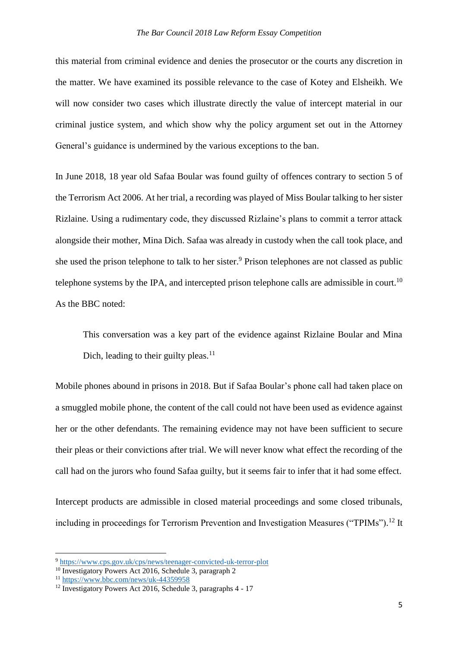this material from criminal evidence and denies the prosecutor or the courts any discretion in the matter. We have examined its possible relevance to the case of Kotey and Elsheikh. We will now consider two cases which illustrate directly the value of intercept material in our criminal justice system, and which show why the policy argument set out in the Attorney General's guidance is undermined by the various exceptions to the ban.

In June 2018, 18 year old Safaa Boular was found guilty of offences contrary to section 5 of the Terrorism Act 2006. At her trial, a recording was played of Miss Boular talking to her sister Rizlaine. Using a rudimentary code, they discussed Rizlaine's plans to commit a terror attack alongside their mother, Mina Dich. Safaa was already in custody when the call took place, and she used the prison telephone to talk to her sister.<sup>9</sup> Prison telephones are not classed as public telephone systems by the IPA, and intercepted prison telephone calls are admissible in court.<sup>10</sup> As the BBC noted:

This conversation was a key part of the evidence against Rizlaine Boular and Mina Dich, leading to their guilty pleas. $11$ 

Mobile phones abound in prisons in 2018. But if Safaa Boular's phone call had taken place on a smuggled mobile phone, the content of the call could not have been used as evidence against her or the other defendants. The remaining evidence may not have been sufficient to secure their pleas or their convictions after trial. We will never know what effect the recording of the call had on the jurors who found Safaa guilty, but it seems fair to infer that it had some effect.

Intercept products are admissible in closed material proceedings and some closed tribunals, including in proceedings for Terrorism Prevention and Investigation Measures ("TPIMs").<sup>12</sup> It

<sup>9</sup> <https://www.cps.gov.uk/cps/news/teenager-convicted-uk-terror-plot>

<sup>&</sup>lt;sup>10</sup> Investigatory Powers Act 2016, Schedule 3, paragraph 2

<sup>11</sup> <https://www.bbc.com/news/uk-44359958>

<sup>&</sup>lt;sup>12</sup> Investigatory Powers Act 2016, Schedule 3, paragraphs 4 - 17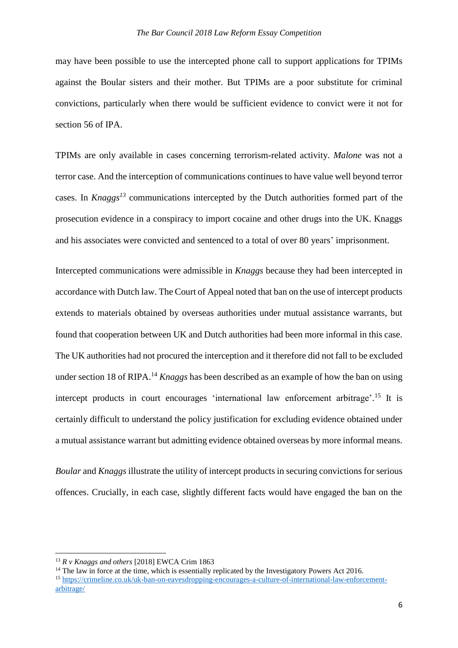may have been possible to use the intercepted phone call to support applications for TPIMs against the Boular sisters and their mother. But TPIMs are a poor substitute for criminal convictions, particularly when there would be sufficient evidence to convict were it not for section 56 of IPA.

TPIMs are only available in cases concerning terrorism-related activity. *Malone* was not a terror case. And the interception of communications continues to have value well beyond terror cases. In *Knaggs<sup>13</sup>* communications intercepted by the Dutch authorities formed part of the prosecution evidence in a conspiracy to import cocaine and other drugs into the UK. Knaggs and his associates were convicted and sentenced to a total of over 80 years' imprisonment.

Intercepted communications were admissible in *Knaggs* because they had been intercepted in accordance with Dutch law. The Court of Appeal noted that ban on the use of intercept products extends to materials obtained by overseas authorities under mutual assistance warrants, but found that cooperation between UK and Dutch authorities had been more informal in this case. The UK authorities had not procured the interception and it therefore did not fall to be excluded under section 18 of RIPA.<sup>14</sup> *Knaggs* has been described as an example of how the ban on using intercept products in court encourages 'international law enforcement arbitrage'.<sup>15</sup> It is certainly difficult to understand the policy justification for excluding evidence obtained under a mutual assistance warrant but admitting evidence obtained overseas by more informal means.

*Boular* and *Knaggs* illustrate the utility of intercept products in securing convictions for serious offences. Crucially, in each case, slightly different facts would have engaged the ban on the

<sup>13</sup> *R v Knaggs and others* [2018] EWCA Crim 1863

<sup>&</sup>lt;sup>14</sup> The law in force at the time, which is essentially replicated by the Investigatory Powers Act 2016.

<sup>15</sup> [https://crimeline.co.uk/uk-ban-on-eavesdropping-encourages-a-culture-of-international-law-enforcement](https://crimeline.co.uk/uk-ban-on-eavesdropping-encourages-a-culture-of-international-law-enforcement-arbitrage/)[arbitrage/](https://crimeline.co.uk/uk-ban-on-eavesdropping-encourages-a-culture-of-international-law-enforcement-arbitrage/)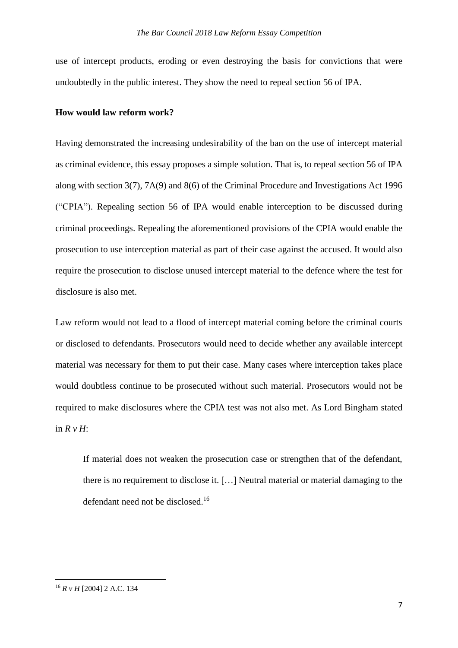use of intercept products, eroding or even destroying the basis for convictions that were undoubtedly in the public interest. They show the need to repeal section 56 of IPA.

#### **How would law reform work?**

Having demonstrated the increasing undesirability of the ban on the use of intercept material as criminal evidence, this essay proposes a simple solution. That is, to repeal section 56 of IPA along with section 3(7), 7A(9) and 8(6) of the Criminal Procedure and Investigations Act 1996 ("CPIA"). Repealing section 56 of IPA would enable interception to be discussed during criminal proceedings. Repealing the aforementioned provisions of the CPIA would enable the prosecution to use interception material as part of their case against the accused. It would also require the prosecution to disclose unused intercept material to the defence where the test for disclosure is also met.

Law reform would not lead to a flood of intercept material coming before the criminal courts or disclosed to defendants. Prosecutors would need to decide whether any available intercept material was necessary for them to put their case. Many cases where interception takes place would doubtless continue to be prosecuted without such material. Prosecutors would not be required to make disclosures where the CPIA test was not also met. As Lord Bingham stated in *R v H*:

If material does not weaken the prosecution case or strengthen that of the defendant, there is no requirement to disclose it. […] Neutral material or material damaging to the defendant need not be disclosed. 16

<sup>16</sup> *R v H* [2004] 2 A.C. 134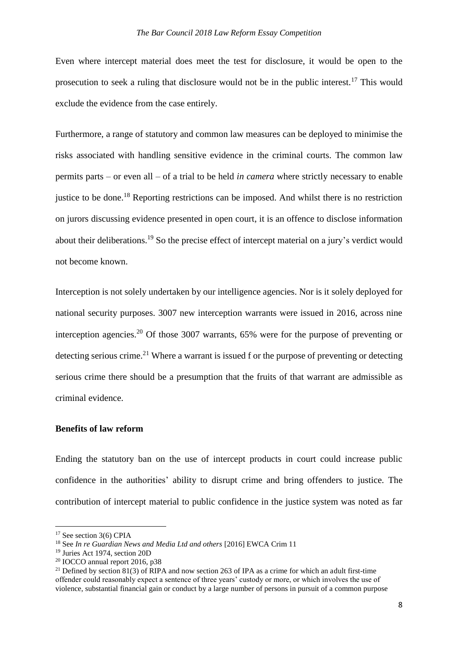Even where intercept material does meet the test for disclosure, it would be open to the prosecution to seek a ruling that disclosure would not be in the public interest.<sup>17</sup> This would exclude the evidence from the case entirely.

Furthermore, a range of statutory and common law measures can be deployed to minimise the risks associated with handling sensitive evidence in the criminal courts. The common law permits parts – or even all – of a trial to be held *in camera* where strictly necessary to enable justice to be done.<sup>18</sup> Reporting restrictions can be imposed. And whilst there is no restriction on jurors discussing evidence presented in open court, it is an offence to disclose information about their deliberations.<sup>19</sup> So the precise effect of intercept material on a jury's verdict would not become known.

Interception is not solely undertaken by our intelligence agencies. Nor is it solely deployed for national security purposes. 3007 new interception warrants were issued in 2016, across nine interception agencies.<sup>20</sup> Of those 3007 warrants, 65% were for the purpose of preventing or detecting serious crime.<sup>21</sup> Where a warrant is issued f or the purpose of preventing or detecting serious crime there should be a presumption that the fruits of that warrant are admissible as criminal evidence.

## **Benefits of law reform**

Ending the statutory ban on the use of intercept products in court could increase public confidence in the authorities' ability to disrupt crime and bring offenders to justice. The contribution of intercept material to public confidence in the justice system was noted as far

<sup>&</sup>lt;sup>17</sup> See section 3(6) CPIA

<sup>18</sup> See *In re Guardian News and Media Ltd and others* [2016] EWCA Crim 11

<sup>19</sup> Juries Act 1974, section 20D

<sup>20</sup> IOCCO annual report 2016, p38

<sup>&</sup>lt;sup>21</sup> Defined by section 81(3) of RIPA and now section 263 of IPA as a crime for which an adult first-time offender could reasonably expect a sentence of three years' custody or more, or which involves the use of violence, substantial financial gain or conduct by a large number of persons in pursuit of a common purpose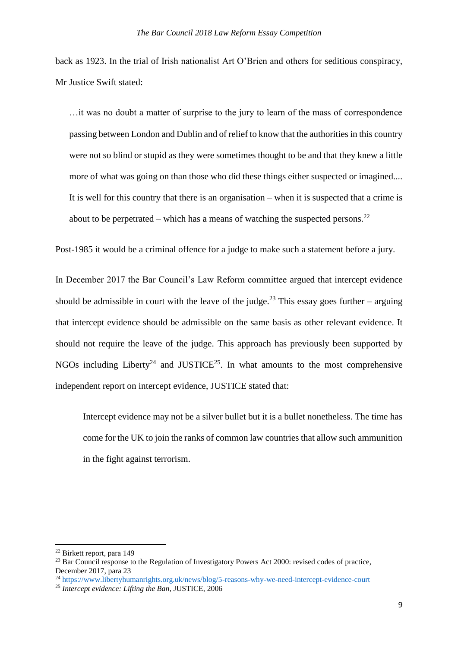back as 1923. In the trial of Irish nationalist Art O'Brien and others for seditious conspiracy, Mr Justice Swift stated:

…it was no doubt a matter of surprise to the jury to learn of the mass of correspondence passing between London and Dublin and of relief to know that the authorities in this country were not so blind or stupid as they were sometimes thought to be and that they knew a little more of what was going on than those who did these things either suspected or imagined.... It is well for this country that there is an organisation – when it is suspected that a crime is about to be perpetrated – which has a means of watching the suspected persons.<sup>22</sup>

Post-1985 it would be a criminal offence for a judge to make such a statement before a jury.

In December 2017 the Bar Council's Law Reform committee argued that intercept evidence should be admissible in court with the leave of the judge.<sup>23</sup> This essay goes further – arguing that intercept evidence should be admissible on the same basis as other relevant evidence. It should not require the leave of the judge. This approach has previously been supported by NGOs including Liberty<sup>24</sup> and JUSTICE<sup>25</sup>. In what amounts to the most comprehensive independent report on intercept evidence, JUSTICE stated that:

Intercept evidence may not be a silver bullet but it is a bullet nonetheless. The time has come for the UK to join the ranks of common law countries that allow such ammunition in the fight against terrorism.

1

<sup>22</sup> Birkett report, para 149

 $^{23}$  Bar Council response to the Regulation of Investigatory Powers Act 2000; revised codes of practice, December 2017, para 23

<sup>&</sup>lt;sup>24</sup> <https://www.libertyhumanrights.org.uk/news/blog/5-reasons-why-we-need-intercept-evidence-court>

<sup>25</sup> *Intercept evidence: Lifting the Ban*, JUSTICE, 2006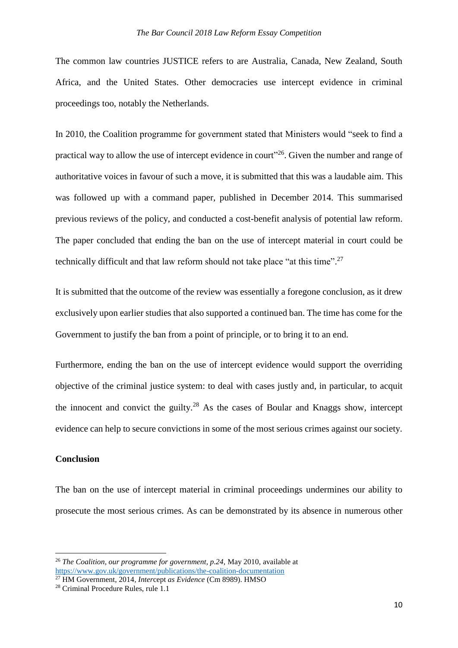The common law countries JUSTICE refers to are Australia, Canada, New Zealand, South Africa, and the United States. Other democracies use intercept evidence in criminal proceedings too, notably the Netherlands.

In 2010, the Coalition programme for government stated that Ministers would "seek to find a practical way to allow the use of intercept evidence in court<sup>"26</sup>. Given the number and range of authoritative voices in favour of such a move, it is submitted that this was a laudable aim. This was followed up with a command paper, published in December 2014. This summarised previous reviews of the policy, and conducted a cost-benefit analysis of potential law reform. The paper concluded that ending the ban on the use of intercept material in court could be technically difficult and that law reform should not take place "at this time".<sup>27</sup>

It is submitted that the outcome of the review was essentially a foregone conclusion, as it drew exclusively upon earlier studies that also supported a continued ban. The time has come for the Government to justify the ban from a point of principle, or to bring it to an end.

Furthermore, ending the ban on the use of intercept evidence would support the overriding objective of the criminal justice system: to deal with cases justly and, in particular, to acquit the innocent and convict the guilty.<sup>28</sup> As the cases of Boular and Knaggs show, intercept evidence can help to secure convictions in some of the most serious crimes against our society.

## **Conclusion**

**.** 

The ban on the use of intercept material in criminal proceedings undermines our ability to prosecute the most serious crimes. As can be demonstrated by its absence in numerous other

<sup>26</sup> *The Coalition, our programme for government, p.24,* May 2010, available at <https://www.gov.uk/government/publications/the-coalition-documentation>

<sup>27</sup> HM Government, 2014*, Inter*cept *as Evidence* (Cm 8989). HMSO

<sup>28</sup> Criminal Procedure Rules, rule 1.1